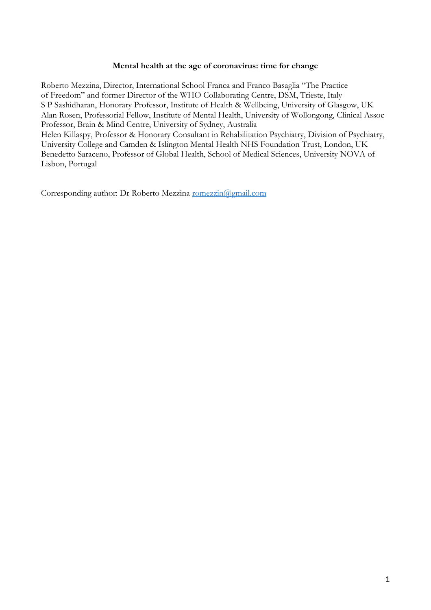# **Mental health at the age of coronavirus: time for change**

Roberto Mezzina, Director, International School Franca and Franco Basaglia "The Practice of Freedom" and former Director of the WHO Collaborating Centre, DSM, Trieste, Italy S P Sashidharan, Honorary Professor, Institute of Health & Wellbeing, University of Glasgow, UK Alan Rosen, Professorial Fellow, Institute of Mental Health, University of Wollongong, Clinical Assoc Professor, Brain & Mind Centre, University of Sydney, Australia

Helen Killaspy, Professor & Honorary Consultant in Rehabilitation Psychiatry, Division of Psychiatry, University College and Camden & Islington Mental Health NHS Foundation Trust, London, UK Benedetto Saraceno, Professor of Global Health, School of Medical Sciences, University NOVA of Lisbon, Portugal

Corresponding author: Dr Roberto Mezzina [romezzin@gmail.com](mailto:romezzin@gmail.com)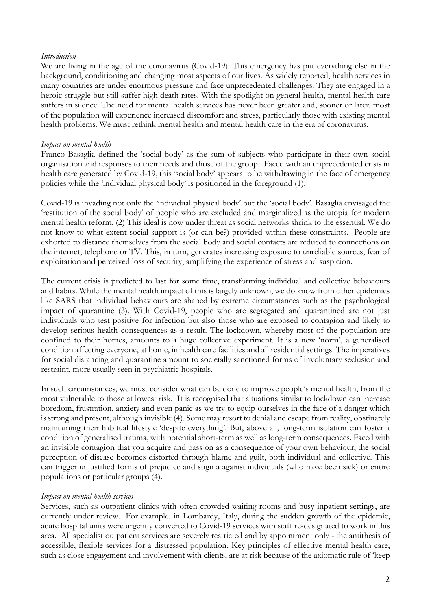# *Introduction*

We are living in the age of the coronavirus (Covid-19). This emergency has put everything else in the background, conditioning and changing most aspects of our lives. As widely reported, health services in many countries are under enormous pressure and face unprecedented challenges. They are engaged in a heroic struggle but still suffer high death rates. With the spotlight on general health, mental health care suffers in silence. The need for mental health services has never been greater and, sooner or later, most of the population will experience increased discomfort and stress, particularly those with existing mental health problems. We must rethink mental health and mental health care in the era of coronavirus.

# *Impact on mental health*

Franco Basaglia defined the 'social body' as the sum of subjects who participate in their own social organisation and responses to their needs and those of the group. Faced with an unprecedented crisis in health care generated by Covid-19, this 'social body' appears to be withdrawing in the face of emergency policies while the 'individual physical body' is positioned in the foreground (1).

Covid-19 is invading not only the 'individual physical body' but the 'social body'. Basaglia envisaged the 'restitution of the social body' of people who are excluded and marginalized as the utopia for modern mental health reform. (2) This ideal is now under threat as social networks shrink to the essential. We do not know to what extent social support is (or can be?) provided within these constraints. People are exhorted to distance themselves from the social body and social contacts are reduced to connections on the internet, telephone or TV. This, in turn, generates increasing exposure to unreliable sources, fear of exploitation and perceived loss of security, amplifying the experience of stress and suspicion.

The current crisis is predicted to last for some time, transforming individual and collective behaviours and habits. While the mental health impact of this is largely unknown, we do know from other epidemics like SARS that individual behaviours are shaped by extreme circumstances such as the psychological impact of quarantine (3). With Covid-19, people who are segregated and quarantined are not just individuals who test positive for infection but also those who are exposed to contagion and likely to develop serious health consequences as a result. The lockdown, whereby most of the population are confined to their homes, amounts to a huge collective experiment. It is a new 'norm', a generalised condition affecting everyone, at home, in health care facilities and all residential settings. The imperatives for social distancing and quarantine amount to societally sanctioned forms of involuntary seclusion and restraint, more usually seen in psychiatric hospitals.

In such circumstances, we must consider what can be done to improve people's mental health, from the most vulnerable to those at lowest risk. It is recognised that situations similar to lockdown can increase boredom, frustration, anxiety and even panic as we try to equip ourselves in the face of a danger which is strong and present, although invisible (4). Some may resort to denial and escape from reality, obstinately maintaining their habitual lifestyle 'despite everything'. But, above all, long-term isolation can foster a condition of generalised trauma, with potential short-term as well as long-term consequences. Faced with an invisible contagion that you acquire and pass on as a consequence of your own behaviour, the social perception of disease becomes distorted through blame and guilt, both individual and collective. This can trigger unjustified forms of prejudice and stigma against individuals (who have been sick) or entire populations or particular groups (4).

# *Impact on mental health services*

Services, such as outpatient clinics with often crowded waiting rooms and busy inpatient settings, are currently under review. For example, in Lombardy, Italy, during the sudden growth of the epidemic, acute hospital units were urgently converted to Covid-19 services with staff re-designated to work in this area. All specialist outpatient services are severely restricted and by appointment only - the antithesis of accessible, flexible services for a distressed population. Key principles of effective mental health care, such as close engagement and involvement with clients, are at risk because of the axiomatic rule of 'keep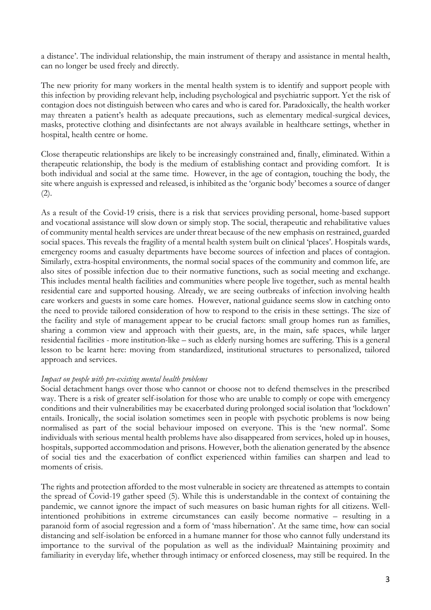a distance'. The individual relationship, the main instrument of therapy and assistance in mental health, can no longer be used freely and directly.

The new priority for many workers in the mental health system is to identify and support people with this infection by providing relevant help, including psychological and psychiatric support. Yet the risk of contagion does not distinguish between who cares and who is cared for. Paradoxically, the health worker may threaten a patient's health as adequate precautions, such as elementary medical-surgical devices, masks, protective clothing and disinfectants are not always available in healthcare settings, whether in hospital, health centre or home.

Close therapeutic relationships are likely to be increasingly constrained and, finally, eliminated. Within a therapeutic relationship, the body is the medium of establishing contact and providing comfort. It is both individual and social at the same time. However, in the age of contagion, touching the body, the site where anguish is expressed and released, is inhibited as the 'organic body' becomes a source of danger (2).

As a result of the Covid-19 crisis, there is a risk that services providing personal, home-based support and vocational assistance will slow down or simply stop. The social, therapeutic and rehabilitative values of community mental health services are under threat because of the new emphasis on restrained, guarded social spaces. This reveals the fragility of a mental health system built on clinical 'places'. Hospitals wards, emergency rooms and casualty departments have become sources of infection and places of contagion. Similarly, extra-hospital environments, the normal social spaces of the community and common life, are also sites of possible infection due to their normative functions, such as social meeting and exchange. This includes mental health facilities and communities where people live together, such as mental health residential care and supported housing. Already, we are seeing outbreaks of infection involving health care workers and guests in some care homes. However, national guidance seems slow in catching onto the need to provide tailored consideration of how to respond to the crisis in these settings. The size of the facility and style of management appear to be crucial factors: small group homes run as families, sharing a common view and approach with their guests, are, in the main, safe spaces, while larger residential facilities - more institution-like – such as elderly nursing homes are suffering. This is a general lesson to be learnt here: moving from standardized, institutional structures to personalized, tailored approach and services.

# *Impact on people with pre-existing mental health problems*

Social detachment hangs over those who cannot or choose not to defend themselves in the prescribed way. There is a risk of greater self-isolation for those who are unable to comply or cope with emergency conditions and their vulnerabilities may be exacerbated during prolonged social isolation that 'lockdown' entails. Ironically, the social isolation sometimes seen in people with psychotic problems is now being normalised as part of the social behaviour imposed on everyone. This is the 'new normal'. Some individuals with serious mental health problems have also disappeared from services, holed up in houses, hospitals, supported accommodation and prisons. However, both the alienation generated by the absence of social ties and the exacerbation of conflict experienced within families can sharpen and lead to moments of crisis.

The rights and protection afforded to the most vulnerable in society are threatened as attempts to contain the spread of Covid-19 gather speed (5). While this is understandable in the context of containing the pandemic, we cannot ignore the impact of such measures on basic human rights for all citizens. Wellintentioned prohibitions in extreme circumstances can easily become normative – resulting in a paranoid form of asocial regression and a form of 'mass hibernation'. At the same time, how can social distancing and self-isolation be enforced in a humane manner for those who cannot fully understand its importance to the survival of the population as well as the individual? Maintaining proximity and familiarity in everyday life, whether through intimacy or enforced closeness, may still be required. In the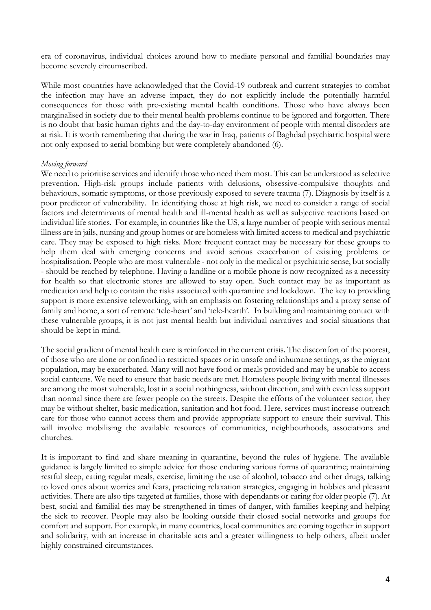era of coronavirus, individual choices around how to mediate personal and familial boundaries may become severely circumscribed.

While most countries have acknowledged that the Covid-19 outbreak and current strategies to combat the infection may have an adverse impact, they do not explicitly include the potentially harmful consequences for those with pre-existing mental health conditions. Those who have always been marginalised in society due to their mental health problems continue to be ignored and forgotten. There is no doubt that basic human rights and the day-to-day environment of people with mental disorders are at risk. It is worth remembering that during the war in Iraq, patients of Baghdad psychiatric hospital were not only exposed to aerial bombing but were completely abandoned (6).

# *Moving forward*

We need to prioritise services and identify those who need them most. This can be understood as selective prevention. High-risk groups include patients with delusions, obsessive-compulsive thoughts and behaviours, somatic symptoms, or those previously exposed to severe trauma (7). Diagnosis by itself is a poor predictor of vulnerability. In identifying those at high risk, we need to consider a range of social factors and determinants of mental health and ill-mental health as well as subjective reactions based on individual life stories. For example, in countries like the US, a large number of people with serious mental illness are in jails, nursing and group homes or are homeless with limited access to medical and psychiatric care. They may be exposed to high risks. More frequent contact may be necessary for these groups to help them deal with emerging concerns and avoid serious exacerbation of existing problems or hospitalisation. People who are most vulnerable - not only in the medical or psychiatric sense, but socially - should be reached by telephone. Having a landline or a mobile phone is now recognized as a necessity for health so that electronic stores are allowed to stay open. Such contact may be as important as medication and help to contain the risks associated with quarantine and lockdown. The key to providing support is more extensive teleworking, with an emphasis on fostering relationships and a proxy sense of family and home, a sort of remote 'tele-heart' and 'tele-hearth'. In building and maintaining contact with these vulnerable groups, it is not just mental health but individual narratives and social situations that should be kept in mind.

The social gradient of mental health care is reinforced in the current crisis. The discomfort of the poorest, of those who are alone or confined in restricted spaces or in unsafe and inhumane settings, as the migrant population, may be exacerbated. Many will not have food or meals provided and may be unable to access social canteens. We need to ensure that basic needs are met. Homeless people living with mental illnesses are among the most vulnerable, lost in a social nothingness, without direction, and with even less support than normal since there are fewer people on the streets. Despite the efforts of the volunteer sector, they may be without shelter, basic medication, sanitation and hot food. Here, services must increase outreach care for those who cannot access them and provide appropriate support to ensure their survival. This will involve mobilising the available resources of communities, neighbourhoods, associations and churches.

It is important to find and share meaning in quarantine, beyond the rules of hygiene. The available guidance is largely limited to simple advice for those enduring various forms of quarantine; maintaining restful sleep, eating regular meals, exercise, limiting the use of alcohol, tobacco and other drugs, talking to loved ones about worries and fears, practicing relaxation strategies, engaging in hobbies and pleasant activities. There are also tips targeted at families, those with dependants or caring for older people (7). At best, social and familial ties may be strengthened in times of danger, with families keeping and helping the sick to recover. People may also be looking outside their closed social networks and groups for comfort and support. For example, in many countries, local communities are coming together in support and solidarity, with an increase in charitable acts and a greater willingness to help others, albeit under highly constrained circumstances.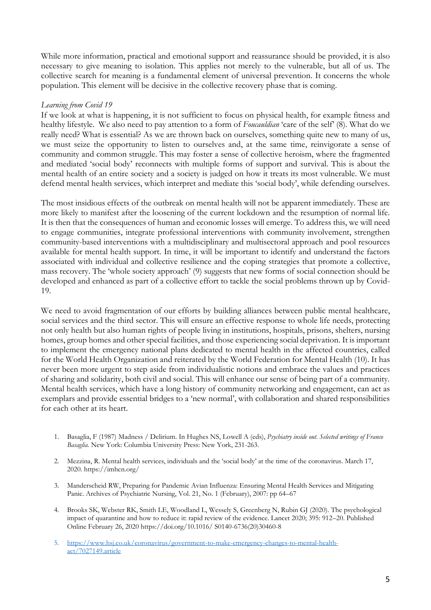While more information, practical and emotional support and reassurance should be provided, it is also necessary to give meaning to isolation. This applies not merely to the vulnerable, but all of us. The collective search for meaning is a fundamental element of universal prevention. It concerns the whole population. This element will be decisive in the collective recovery phase that is coming.

# *Learning from Covid 19*

If we look at what is happening, it is not sufficient to focus on physical health, for example fitness and healthy lifestyle. We also need to pay attention to a form of *Foucauldian* 'care of the self' (8). What do we really need? What is essential? As we are thrown back on ourselves, something quite new to many of us, we must seize the opportunity to listen to ourselves and, at the same time, reinvigorate a sense of community and common struggle. This may foster a sense of collective heroism, where the fragmented and mediated 'social body' reconnects with multiple forms of support and survival. This is about the mental health of an entire society and a society is judged on how it treats its most vulnerable. We must defend mental health services, which interpret and mediate this 'social body', while defending ourselves.

The most insidious effects of the outbreak on mental health will not be apparent immediately. These are more likely to manifest after the loosening of the current lockdown and the resumption of normal life. It is then that the consequences of human and economic losses will emerge. To address this, we will need to engage communities, integrate professional interventions with community involvement, strengthen community-based interventions with a multidisciplinary and multisectoral approach and pool resources available for mental health support. In time, it will be important to identify and understand the factors associated with individual and collective resilience and the coping strategies that promote a collective, mass recovery. The 'whole society approach' (9) suggests that new forms of social connection should be developed and enhanced as part of a collective effort to tackle the social problems thrown up by Covid-19.

We need to avoid fragmentation of our efforts by building alliances between public mental healthcare, social services and the third sector. This will ensure an effective response to whole life needs, protecting not only health but also human rights of people living in institutions, hospitals, prisons, shelters, nursing homes, group homes and other special facilities, and those experiencing social deprivation. It is important to implement the emergency national plans dedicated to mental health in the affected countries, called for the World Health Organization and reiterated by the World Federation for Mental Health (10). It has never been more urgent to step aside from individualistic notions and embrace the values and practices of sharing and solidarity, both civil and social. This will enhance our sense of being part of a community. Mental health services, which have a long history of community networking and engagement, can act as exemplars and provide essential bridges to a 'new normal', with collaboration and shared responsibilities for each other at its heart.

- 1. Basaglia, F (1987) Madness / Delirium. In Hughes NS, Lowell A (eds), *Psychiatry inside out. Selected writings of Franco Basaglia.* New York: Columbia University Press: New York, 231-263.
- 2. Mezzina, R. Mental health services, individuals and the 'social body' at the time of the coronavirus. March 17, 2020. https://imhcn.org/
- 3. Manderscheid RW, Preparing for Pandemic Avian Influenza: Ensuring Mental Health Services and Mitigating Panic. Archives of Psychiatric Nursing, Vol. 21, No. 1 (February), 2007: pp 64–67
- 4. Brooks SK, Webster RK, Smith LE, Woodland L, Wessely S, Greenberg N, Rubin GJ (2020). The psychological impact of quarantine and how to reduce it: rapid review of the evidence. Lancet 2020; 395: 912–20. Published Online February 26, 2020 https://doi.org/10.1016/ S0140-6736(20)30460-8
- 5. [https://www.hsj.co.uk/coronavirus/government-to-make-emergency-changes-to-mental-health](https://www.hsj.co.uk/coronavirus/government-to-make-emergency-changes-to-mental-health-act/7027149.article)[act/7027149.article](https://www.hsj.co.uk/coronavirus/government-to-make-emergency-changes-to-mental-health-act/7027149.article)